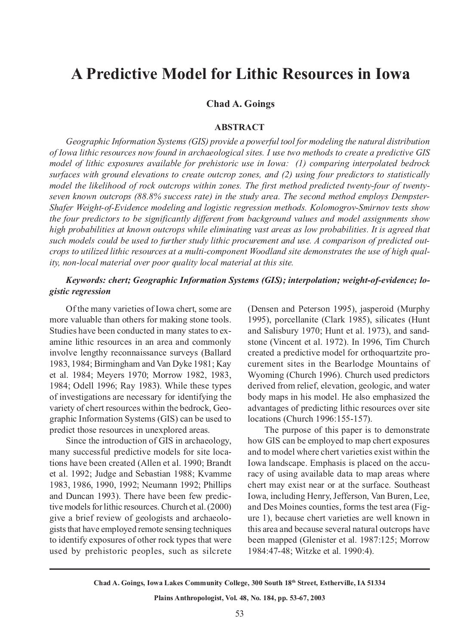# **A Predictive Model for Lithic Resources in Iowa**

#### **Chad A. Goings**

#### **ABSTRACT**

*Geographic Information Systems (GIS) provide a powerful tool for modeling the natural distribution of Iowa lithic resources now found in archaeological sites. I use two methods to create a predictive GIS model of lithic exposures available for prehistoric use in Iowa: (1) comparing interpolated bedrock surfaces with ground elevations to create outcrop zones, and (2) using four predictors to statistically model the likelihood of rock outcrops within zones. The first method predicted twenty-four of twentyseven known outcrops (88.8% success rate) in the study area. The second method employs Dempster-Shafer Weight-of-Evidence modeling and logistic regression methods. Kolomogrov-Smirnov tests show the four predictors to be significantly different from background values and model assignments show high probabilities at known outcrops while eliminating vast areas as low probabilities. It is agreed that such models could be used to further study lithic procurement and use. A comparison of predicted outcrops to utilized lithic resources at a multi-component Woodland site demonstrates the use of high quality, non-local material over poor quality local material at this site.*

#### *Keywords: chert; Geographic Information Systems (GIS); interpolation; weight-of-evidence; logistic regression*

Of the many varieties of Iowa chert, some are more valuable than others for making stone tools. Studies have been conducted in many states to examine lithic resources in an area and commonly involve lengthy reconnaissance surveys (Ballard 1983, 1984; Birmingham and Van Dyke 1981; Kay et al. 1984; Meyers 1970; Morrow 1982, 1983, 1984; Odell 1996; Ray 1983). While these types of investigations are necessary for identifying the variety of chert resources within the bedrock, Geographic Information Systems (GIS) can be used to predict those resources in unexplored areas.

Since the introduction of GIS in archaeology, many successful predictive models for site locations have been created (Allen et al. 1990; Brandt et al. 1992; Judge and Sebastian 1988; Kvamme 1983, 1986, 1990, 1992; Neumann 1992; Phillips and Duncan 1993). There have been few predictive models for lithic resources. Church et al. (2000) give a brief review of geologists and archaeologists that have employed remote sensing techniques to identify exposures of other rock types that were used by prehistoric peoples, such as silcrete (Densen and Peterson 1995), jasperoid (Murphy 1995), porcellanite (Clark 1985), silicates (Hunt and Salisbury 1970; Hunt et al. 1973), and sandstone (Vincent et al. 1972). In 1996, Tim Church created a predictive model for orthoquartzite procurement sites in the Bearlodge Mountains of Wyoming (Church 1996). Church used predictors derived from relief, elevation, geologic, and water body maps in his model. He also emphasized the advantages of predicting lithic resources over site locations (Church 1996:155-157).

The purpose of this paper is to demonstrate how GIS can be employed to map chert exposures and to model where chert varieties exist within the Iowa landscape. Emphasis is placed on the accuracy of using available data to map areas where chert may exist near or at the surface. Southeast Iowa, including Henry, Jefferson, Van Buren, Lee, and Des Moines counties, forms the test area (Figure 1), because chert varieties are well known in this area and because several natural outcrops have been mapped (Glenister et al. 1987:125; Morrow 1984:47-48; Witzke et al. 1990:4).

**Chad A. Goings, Iowa Lakes Community College, 300 South 18th Street, Estherville, IA 51334**

**Plains Anthropologist, Vol. 48, No. 184, pp. 53-67, 2003**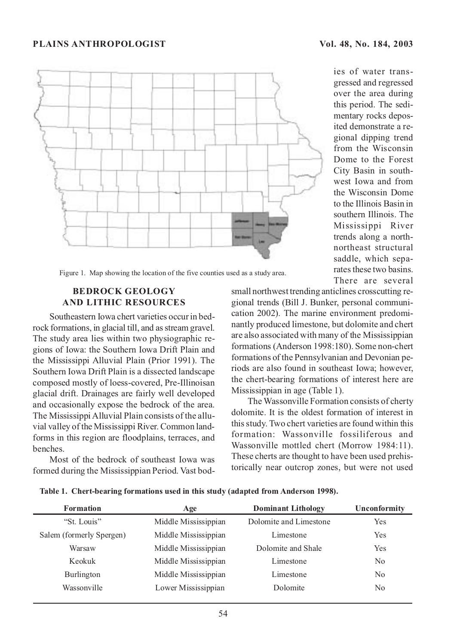

Figure 1. Map showing the location of the five counties used as a study area.

#### **BEDROCK GEOLOGY AND LITHIC RESOURCES**

Southeastern Iowa chert varieties occur in bedrock formations, in glacial till, and as stream gravel. The study area lies within two physiographic regions of Iowa: the Southern Iowa Drift Plain and the Mississippi Alluvial Plain (Prior 1991). The Southern Iowa Drift Plain is a dissected landscape composed mostly of loess-covered, Pre-Illinoisan glacial drift. Drainages are fairly well developed and occasionally expose the bedrock of the area. The Mississippi Alluvial Plain consists of the alluvial valley of the Mississippi River. Common landforms in this region are floodplains, terraces, and benches.

Most of the bedrock of southeast Iowa was formed during the Mississippian Period. Vast bodies of water transgressed and regressed over the area during this period. The sedimentary rocks deposited demonstrate a regional dipping trend from the Wisconsin Dome to the Forest City Basin in southwest Iowa and from the Wisconsin Dome to the Illinois Basin in southern Illinois. The Mississippi River trends along a northnortheast structural saddle, which separates these two basins. There are several

small northwest trending anticlines crosscutting regional trends (Bill J. Bunker, personal communication 2002). The marine environment predominantly produced limestone, but dolomite and chert are also associated with many of the Mississippian formations (Anderson 1998:180). Some non-chert formations of the Pennsylvanian and Devonian periods are also found in southeast Iowa; however, the chert-bearing formations of interest here are Mississippian in age (Table 1).

The Wassonville Formation consists of cherty dolomite. It is the oldest formation of interest in this study. Two chert varieties are found within this formation: Wassonville fossiliferous and Wassonville mottled chert (Morrow 1984:11). These cherts are thought to have been used prehistorically near outcrop zones, but were not used

| <b>Formation</b>         | Age                  | <b>Dominant Lithology</b> | Unconformity |
|--------------------------|----------------------|---------------------------|--------------|
| "St. Louis"              | Middle Mississippian | Dolomite and Limestone    | Yes          |
| Salem (formerly Spergen) | Middle Mississippian | Limestone                 | Yes          |
| Warsaw                   | Middle Mississippian | Dolomite and Shale        | Yes          |
| Keokuk                   | Middle Mississippian | Limestone                 | No           |
| Burlington               | Middle Mississippian | Limestone                 | No           |
| Wassonville              | Lower Mississippian  | Dolomite                  | No           |

#### **Table 1. Chert-bearing formations used in this study (adapted from Anderson 1998).**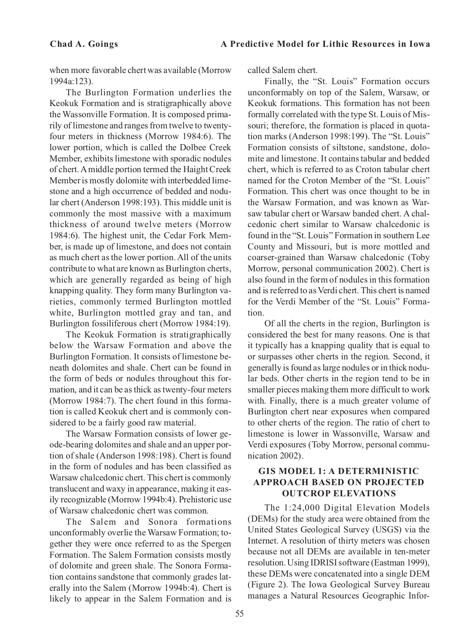when more favorable chert was available (Morrow 1994a:123).

The Burlington Formation underlies the Keokuk Formation and is stratigraphically above the Wassonville Formation. It is composed primarily of limestone and ranges from twelve to twentyfour meters in thickness (Morrow 1984:6). The lower portion, which is called the Dolbee Creek Member, exhibits limestone with sporadic nodules of chert. A middle portion termed the Haight Creek Member is mostly dolomite with interbedded limestone and a high occurrence of bedded and nodular chert (Anderson 1998:193). This middle unit is commonly the most massive with a maximum thickness of around twelve meters (Morrow 1984:6). The highest unit, the Cedar Fork Member, is made up of limestone, and does not contain as much chert as the lower portion. All of the units contribute to what are known as Burlington cherts, which are generally regarded as being of high knapping quality. They form many Burlington varieties, commonly termed Burlington mottled white, Burlington mottled gray and tan, and Burlington fossiliferous chert (Morrow 1984:19).

The Keokuk Formation is stratigraphically below the Warsaw Formation and above the Burlington Formation. It consists of limestone beneath dolomites and shale. Chert can be found in the form of beds or nodules throughout this formation, and it can be as thick as twenty-four meters (Morrow 1984:7). The chert found in this formation is called Keokuk chert and is commonly considered to be a fairly good raw material.

The Warsaw Formation consists of lower geode-bearing dolomites and shale and an upper portion of shale (Anderson 1998:198). Chert is found in the form of nodules and has been classified as Warsaw chalcedonic chert. This chert is commonly translucent and waxy in appearance, making it easily recognizable (Morrow 1994b:4). Prehistoric use of Warsaw chalcedonic chert was common.

The Salem and Sonora formations unconformably overlie the Warsaw Formation; together they were once referred to as the Spergen Formation. The Salem Formation consists mostly of dolomite and green shale. The Sonora Formation contains sandstone that commonly grades laterally into the Salem (Morrow 1994b:4). Chert is likely to appear in the Salem Formation and is called Salem chert.

Finally, the "St. Louis" Formation occurs unconformably on top of the Salem, Warsaw, or Keokuk formations. This formation has not been formally correlated with the type St. Louis of Missouri; therefore, the formation is placed in quotation marks (Anderson 1998:199). The "St. Louis" Formation consists of siltstone, sandstone, dolomite and limestone. It contains tabular and bedded chert, which is referred to as Croton tabular chert named for the Croton Member of the "St. Louis" Formation. This chert was once thought to be in the Warsaw Formation, and was known as Warsaw tabular chert or Warsaw banded chert. A chalcedonic chert similar to Warsaw chalcedonic is found in the "St. Louis" Formation in southern Lee County and Missouri, but is more mottled and coarser-grained than Warsaw chalcedonic (Toby Morrow, personal communication 2002). Chert is also found in the form of nodules in this formation and is referred to as Verdi chert. This chert is named for the Verdi Member of the "St. Louis" Formation.

Of all the cherts in the region, Burlington is considered the best for many reasons. One is that it typically has a knapping quality that is equal to or surpasses other cherts in the region. Second, it generally is found as large nodules or in thick nodular beds. Other cherts in the region tend to be in smaller pieces making them more difficult to work with. Finally, there is a much greater volume of Burlington chert near exposures when compared to other cherts of the region. The ratio of chert to limestone is lower in Wassonville, Warsaw and Verdi exposures (Toby Morrow, personal communication 2002).

## **GIS MODEL 1: A DETERMINISTIC APPROACH BASED ON PROJECTED OUTCROP ELEVATIONS**

The 1:24,000 Digital Elevation Models (DEMs) for the study area were obtained from the United States Geological Survey (USGS) via the Internet. A resolution of thirty meters was chosen because not all DEMs are available in ten-meter resolution. Using IDRISI software (Eastman 1999), these DEMs were concatenated into a single DEM (Figure 2). The Iowa Geological Survey Bureau manages a Natural Resources Geographic Infor-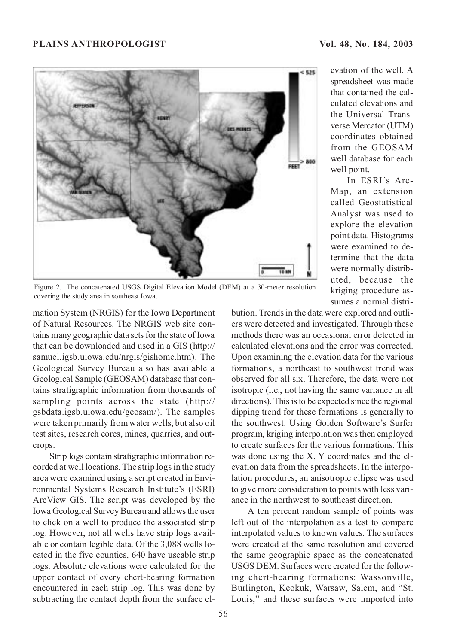

Figure 2. The concatenated USGS Digital Elevation Model (DEM) at a 30-meter resolution covering the study area in southeast Iowa.

mation System (NRGIS) for the Iowa Department of Natural Resources. The NRGIS web site contains many geographic data sets for the state of Iowa that can be downloaded and used in a GIS (http:// samuel.igsb.uiowa.edu/nrgis/gishome.htm). The Geological Survey Bureau also has available a Geological Sample (GEOSAM) database that contains stratigraphic information from thousands of sampling points across the state (http:// gsbdata.igsb.uiowa.edu/geosam/). The samples were taken primarily from water wells, but also oil test sites, research cores, mines, quarries, and outcrops.

Strip logs contain stratigraphic information recorded at well locations. The strip logs in the study area were examined using a script created in Environmental Systems Research Institute's (ESRI) ArcView GIS. The script was developed by the Iowa Geological Survey Bureau and allows the user to click on a well to produce the associated strip log. However, not all wells have strip logs available or contain legible data. Of the 3,088 wells located in the five counties, 640 have useable strip logs. Absolute elevations were calculated for the upper contact of every chert-bearing formation encountered in each strip log. This was done by subtracting the contact depth from the surface elevation of the well. A spreadsheet was made that contained the calculated elevations and the Universal Transverse Mercator (UTM) coordinates obtained from the GEOSAM well database for each well point.

In ESRI's Arc-Map, an extension called Geostatistical Analyst was used to explore the elevation point data. Histograms were examined to determine that the data were normally distributed, because the kriging procedure assumes a normal distri-

bution. Trends in the data were explored and outliers were detected and investigated. Through these methods there was an occasional error detected in calculated elevations and the error was corrected. Upon examining the elevation data for the various formations, a northeast to southwest trend was observed for all six. Therefore, the data were not isotropic (i.e., not having the same variance in all directions). This is to be expected since the regional dipping trend for these formations is generally to the southwest. Using Golden Software's Surfer program, kriging interpolation was then employed to create surfaces for the various formations. This was done using the X, Y coordinates and the elevation data from the spreadsheets. In the interpolation procedures, an anisotropic ellipse was used to give more consideration to points with less variance in the northwest to southeast direction.

A ten percent random sample of points was left out of the interpolation as a test to compare interpolated values to known values. The surfaces were created at the same resolution and covered the same geographic space as the concatenated USGS DEM. Surfaces were created for the following chert-bearing formations: Wassonville, Burlington, Keokuk, Warsaw, Salem, and "St. Louis," and these surfaces were imported into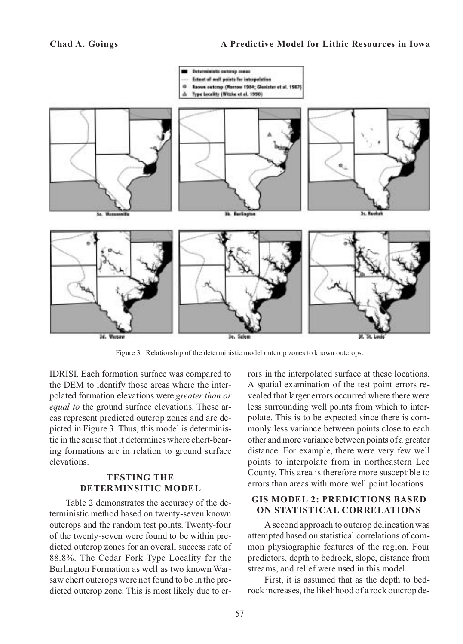#### **Chad A. Goings A Predictive Model for Lithic Resources in Iowa**



Figure 3. Relationship of the deterministic model outcrop zones to known outcrops.

IDRISI. Each formation surface was compared to the DEM to identify those areas where the interpolated formation elevations were *greater than or equal to* the ground surface elevations. These areas represent predicted outcrop zones and are depicted in Figure 3. Thus, this model is deterministic in the sense that it determines where chert-bearing formations are in relation to ground surface elevations.

# **TESTING THE DETERMINSITIC MODEL**

Table 2 demonstrates the accuracy of the deterministic method based on twenty-seven known outcrops and the random test points. Twenty-four of the twenty-seven were found to be within predicted outcrop zones for an overall success rate of 88.8%. The Cedar Fork Type Locality for the Burlington Formation as well as two known Warsaw chert outcrops were not found to be in the predicted outcrop zone. This is most likely due to errors in the interpolated surface at these locations. A spatial examination of the test point errors revealed that larger errors occurred where there were less surrounding well points from which to interpolate. This is to be expected since there is commonly less variance between points close to each other and more variance between points of a greater distance. For example, there were very few well points to interpolate from in northeastern Lee County. This area is therefore more susceptible to errors than areas with more well point locations.

#### **GIS MODEL 2: PREDICTIONS BASED ON STATISTICAL CORRELATIONS**

A second approach to outcrop delineation was attempted based on statistical correlations of common physiographic features of the region. Four predictors, depth to bedrock, slope, distance from streams, and relief were used in this model.

First, it is assumed that as the depth to bedrock increases, the likelihood of a rock outcrop de-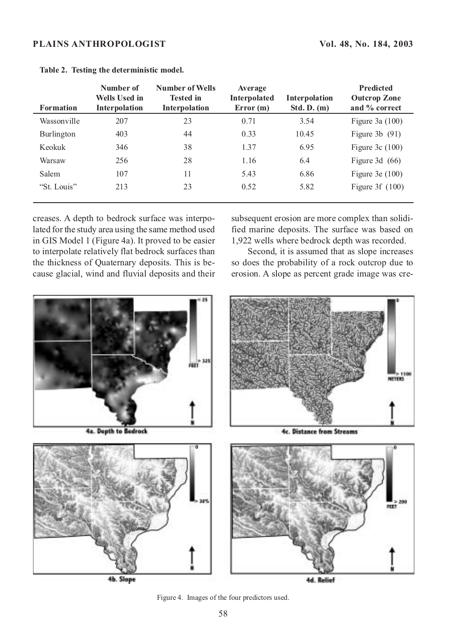| <b>Formation</b> | Number of<br>Wells Used in<br>Interpolation | <b>Number of Wells</b><br><b>Tested in</b><br>Interpolation | Average<br>Interpolated<br>Error(m) | Interpolation<br>Std. D. (m) | <b>Predicted</b><br><b>Outcrop Zone</b><br>and % correct |
|------------------|---------------------------------------------|-------------------------------------------------------------|-------------------------------------|------------------------------|----------------------------------------------------------|
| Wassonville      | 207                                         | 23                                                          | 0.71                                | 3.54                         | Figure $3a(100)$                                         |
| Burlington       | 403                                         | 44                                                          | 0.33                                | 10.45                        | Figure $3b(91)$                                          |
| Keokuk           | 346                                         | 38                                                          | 1.37                                | 6.95                         | Figure 3c $(100)$                                        |
| Warsaw           | 256                                         | 28                                                          | 1.16                                | 6.4                          | Figure 3d $(66)$                                         |
| Salem            | 107                                         | 11                                                          | 5.43                                | 6.86                         | Figure 3e $(100)$                                        |
| "St. Louis"      | 213                                         | 23                                                          | 0.52                                | 5.82                         | Figure 3f $(100)$                                        |

**Table 2. Testing the deterministic model.**

creases. A depth to bedrock surface was interpolated for the study area using the same method used in GIS Model 1 (Figure 4a). It proved to be easier to interpolate relatively flat bedrock surfaces than the thickness of Quaternary deposits. This is because glacial, wind and fluvial deposits and their subsequent erosion are more complex than solidified marine deposits. The surface was based on 1,922 wells where bedrock depth was recorded.

Second, it is assumed that as slope increases so does the probability of a rock outcrop due to erosion. A slope as percent grade image was cre-



Figure 4. Images of the four predictors used.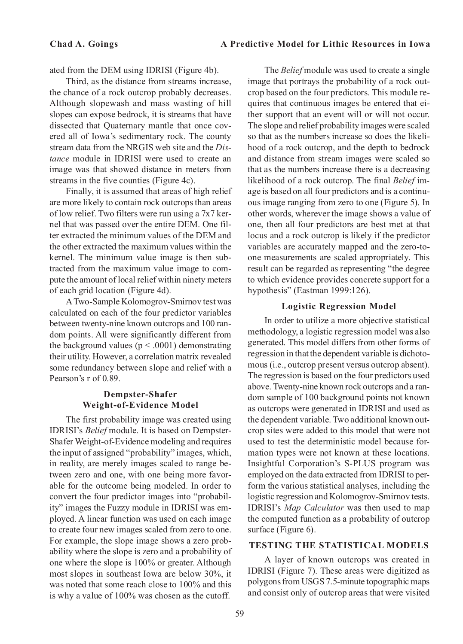ated from the DEM using IDRISI (Figure 4b).

Third, as the distance from streams increase, the chance of a rock outcrop probably decreases. Although slopewash and mass wasting of hill slopes can expose bedrock, it is streams that have dissected that Quaternary mantle that once covered all of Iowa's sedimentary rock. The county stream data from the NRGIS web site and the *Distance* module in IDRISI were used to create an image was that showed distance in meters from streams in the five counties (Figure 4c).

Finally, it is assumed that areas of high relief are more likely to contain rock outcrops than areas of low relief. Two filters were run using a 7x7 kernel that was passed over the entire DEM. One filter extracted the minimum values of the DEM and the other extracted the maximum values within the kernel. The minimum value image is then subtracted from the maximum value image to compute the amount of local relief within ninety meters of each grid location (Figure 4d).

A Two-Sample Kolomogrov-Smirnov test was calculated on each of the four predictor variables between twenty-nine known outcrops and 100 random points. All were significantly different from the background values ( $p < .0001$ ) demonstrating their utility. However, a correlation matrix revealed some redundancy between slope and relief with a Pearson's r of 0.89.

#### **Dempster-Shafer Weight-of-Evidence Model**

The first probability image was created using IDRISI's *Belief* module. It is based on Dempster-Shafer Weight-of-Evidence modeling and requires the input of assigned "probability" images, which, in reality, are merely images scaled to range between zero and one, with one being more favorable for the outcome being modeled. In order to convert the four predictor images into "probability" images the Fuzzy module in IDRISI was employed. A linear function was used on each image to create four new images scaled from zero to one. For example, the slope image shows a zero probability where the slope is zero and a probability of one where the slope is 100% or greater. Although most slopes in southeast Iowa are below 30%, it was noted that some reach close to 100% and this is why a value of 100% was chosen as the cutoff.

The *Belief* module was used to create a single image that portrays the probability of a rock outcrop based on the four predictors. This module requires that continuous images be entered that either support that an event will or will not occur. The slope and relief probability images were scaled so that as the numbers increase so does the likelihood of a rock outcrop, and the depth to bedrock and distance from stream images were scaled so that as the numbers increase there is a decreasing likelihood of a rock outcrop. The final *Belief* image is based on all four predictors and is a continuous image ranging from zero to one (Figure 5). In other words, wherever the image shows a value of one, then all four predictors are best met at that locus and a rock outcrop is likely if the predictor variables are accurately mapped and the zero-toone measurements are scaled appropriately. This result can be regarded as representing "the degree to which evidence provides concrete support for a hypothesis" (Eastman 1999:126).

#### **Logistic Regression Model**

In order to utilize a more objective statistical methodology, a logistic regression model was also generated. This model differs from other forms of regression in that the dependent variable is dichotomous (i.e., outcrop present versus outcrop absent). The regression is based on the four predictors used above. Twenty-nine known rock outcrops and a random sample of 100 background points not known as outcrops were generated in IDRISI and used as the dependent variable. Two additional known outcrop sites were added to this model that were not used to test the deterministic model because formation types were not known at these locations. Insightful Corporation's S-PLUS program was employed on the data extracted from IDRISI to perform the various statistical analyses, including the logistic regression and Kolomogrov-Smirnov tests. IDRISI's *Map Calculator* was then used to map the computed function as a probability of outcrop surface (Figure 6).

#### **TESTING THE STATISTICAL MODELS**

A layer of known outcrops was created in IDRISI (Figure 7). These areas were digitized as polygons from USGS 7.5-minute topographic maps and consist only of outcrop areas that were visited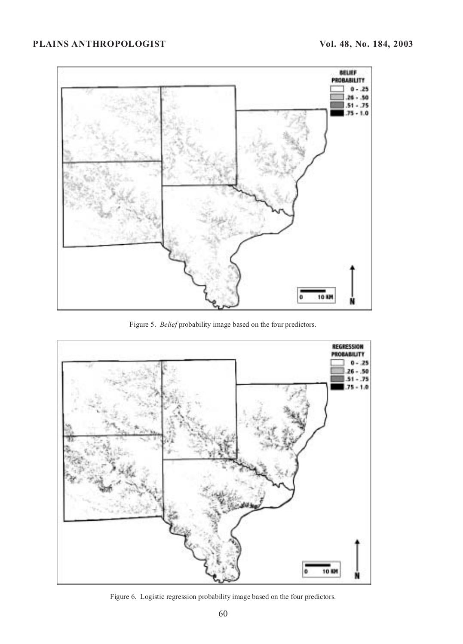

Figure 5. *Belief* probability image based on the four predictors.



Figure 6. Logistic regression probability image based on the four predictors.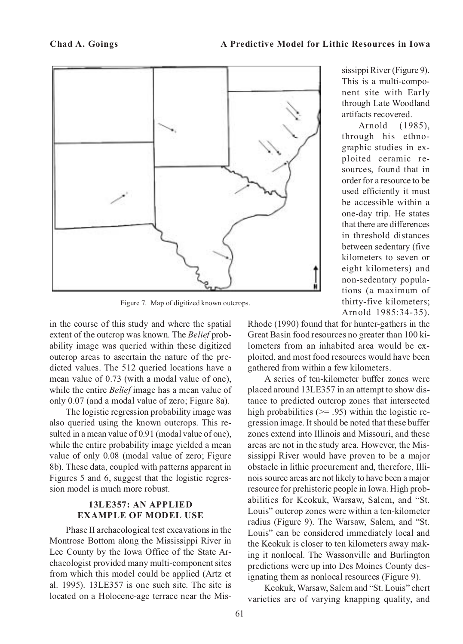

Figure 7. Map of digitized known outcrops.

in the course of this study and where the spatial extent of the outcrop was known. The *Belief* probability image was queried within these digitized outcrop areas to ascertain the nature of the predicted values. The 512 queried locations have a mean value of 0.73 (with a modal value of one), while the entire *Belief* image has a mean value of only 0.07 (and a modal value of zero; Figure 8a).

The logistic regression probability image was also queried using the known outcrops. This resulted in a mean value of 0.91 (modal value of one), while the entire probability image yielded a mean value of only 0.08 (modal value of zero; Figure 8b). These data, coupled with patterns apparent in Figures 5 and 6, suggest that the logistic regression model is much more robust.

# **13LE357: AN APPLIED EXAMPLE OF MODEL USE**

Phase II archaeological test excavations in the Montrose Bottom along the Mississippi River in Lee County by the Iowa Office of the State Archaeologist provided many multi-component sites from which this model could be applied (Artz et al. 1995). 13LE357 is one such site. The site is located on a Holocene-age terrace near the Mississippi River (Figure 9). This is a multi-component site with Early through Late Woodland artifacts recovered.

Arnold (1985), through his ethnographic studies in exploited ceramic resources, found that in order for a resource to be used efficiently it must be accessible within a one-day trip. He states that there are differences in threshold distances between sedentary (five kilometers to seven or eight kilometers) and non-sedentary populations (a maximum of thirty-five kilometers; Arnold 1985:34-35).

Rhode (1990) found that for hunter-gathers in the Great Basin food resources no greater than 100 kilometers from an inhabited area would be exploited, and most food resources would have been gathered from within a few kilometers.

A series of ten-kilometer buffer zones were placed around 13LE357 in an attempt to show distance to predicted outcrop zones that intersected high probabilities ( $\ge$ = .95) within the logistic regression image. It should be noted that these buffer zones extend into Illinois and Missouri, and these areas are not in the study area. However, the Mississippi River would have proven to be a major obstacle in lithic procurement and, therefore, Illinois source areas are not likely to have been a major resource for prehistoric people in Iowa. High probabilities for Keokuk, Warsaw, Salem, and "St. Louis" outcrop zones were within a ten-kilometer radius (Figure 9). The Warsaw, Salem, and "St. Louis" can be considered immediately local and the Keokuk is closer to ten kilometers away making it nonlocal. The Wassonville and Burlington predictions were up into Des Moines County designating them as nonlocal resources (Figure 9).

Keokuk, Warsaw, Salem and "St. Louis" chert varieties are of varying knapping quality, and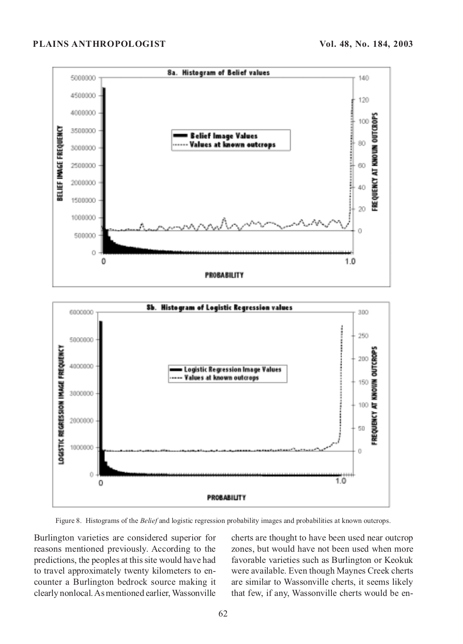

Figure 8. Histograms of the *Belief* and logistic regression probability images and probabilities at known outcrops.

Burlington varieties are considered superior for reasons mentioned previously. According to the predictions, the peoples at this site would have had to travel approximately twenty kilometers to encounter a Burlington bedrock source making it clearly nonlocal. As mentioned earlier, Wassonville cherts are thought to have been used near outcrop zones, but would have not been used when more favorable varieties such as Burlington or Keokuk were available. Even though Maynes Creek cherts are similar to Wassonville cherts, it seems likely that few, if any, Wassonville cherts would be en-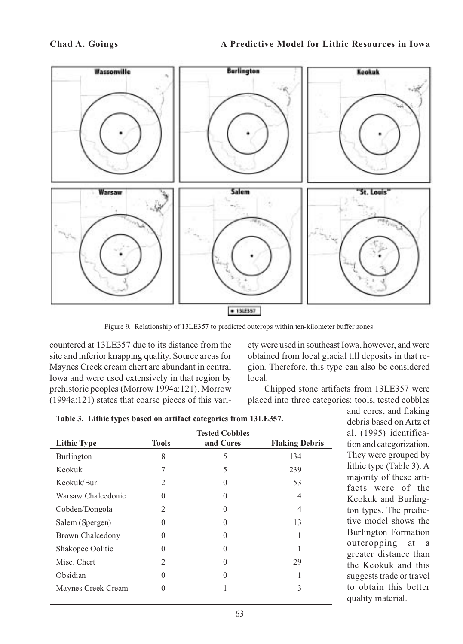

Figure 9. Relationship of 13LE357 to predicted outcrops within ten-kilometer buffer zones.

countered at 13LE357 due to its distance from the site and inferior knapping quality. Source areas for Maynes Creek cream chert are abundant in central Iowa and were used extensively in that region by prehistoric peoples (Morrow 1994a:121). Morrow (1994a:121) states that coarse pieces of this variety were used in southeast Iowa, however, and were obtained from local glacial till deposits in that region. Therefore, this type can also be considered local.

Chipped stone artifacts from 13LE357 were placed into three categories: tools, tested cobbles

|  | Table 3. Lithic types based on artifact categories from 13LE357. |  |  |  |  |  |
|--|------------------------------------------------------------------|--|--|--|--|--|
|--|------------------------------------------------------------------|--|--|--|--|--|

|                         |                               | <b>Tested Cobbles</b> |                       |
|-------------------------|-------------------------------|-----------------------|-----------------------|
| <b>Lithic Type</b>      | <b>Tools</b>                  | and Cores             | <b>Flaking Debris</b> |
| Burlington              | 8                             | 5                     | 134                   |
| Keokuk                  |                               | 5                     | 239                   |
| Keokuk/Burl             | $\mathfrak{D}_{\mathfrak{p}}$ | $\theta$              | 53                    |
| Warsaw Chalcedonic      | $\Omega$                      | $\theta$              | 4                     |
| Cobden/Dongola          | 2                             | $\theta$              | 4                     |
| Salem (Spergen)         | $\Omega$                      | 0                     | 13                    |
| <b>Brown Chalcedony</b> | 0                             | $\theta$              |                       |
| Shakopee Oolitic        | 0                             | $\theta$              |                       |
| Misc. Chert             | 2                             | $\theta$              | 29                    |
| Obsidian                | $\Omega$                      | $\theta$              |                       |
| Maynes Creek Cream      | $\mathbf{0}$                  |                       | 3                     |

and cores, and flaking debris based on Artz et al. (1995) identification and categorization. They were grouped by lithic type (Table 3). A majority of these artifacts were of the Keokuk and Burlington types. The predictive model shows the Burlington Formation outcropping at a greater distance than the Keokuk and this suggests trade or travel to obtain this better quality material.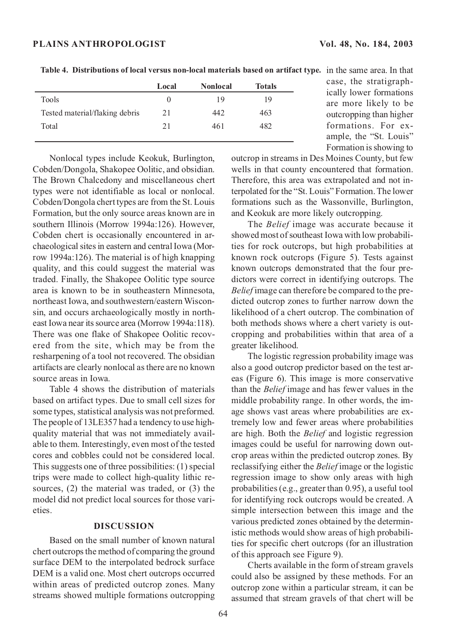|                                | Local | <b>Nonlocal</b> | <b>Totals</b> |
|--------------------------------|-------|-----------------|---------------|
| Tools                          | O     | 19              | 19            |
| Tested material/flaking debris | 21    | 442             | 463           |
| Total                          | 21    | 461             | 482           |
|                                |       |                 |               |

**Table 4. Distributions of local versus non-local materials based on artifact type.** in the same area. In that

Nonlocal types include Keokuk, Burlington, Cobden/Dongola, Shakopee Oolitic, and obsidian. The Brown Chalcedony and miscellaneous chert types were not identifiable as local or nonlocal. Cobden/Dongola chert types are from the St. Louis Formation, but the only source areas known are in southern Illinois (Morrow 1994a:126). However, Cobden chert is occasionally encountered in archaeological sites in eastern and central Iowa (Morrow 1994a:126). The material is of high knapping quality, and this could suggest the material was traded. Finally, the Shakopee Oolitic type source area is known to be in southeastern Minnesota, northeast Iowa, and southwestern/eastern Wisconsin, and occurs archaeologically mostly in northeast Iowa near its source area (Morrow 1994a:118). There was one flake of Shakopee Oolitic recovered from the site, which may be from the resharpening of a tool not recovered. The obsidian artifacts are clearly nonlocal as there are no known source areas in Iowa.

Table 4 shows the distribution of materials based on artifact types. Due to small cell sizes for some types, statistical analysis was not preformed. The people of 13LE357 had a tendency to use highquality material that was not immediately available to them. Interestingly, even most of the tested cores and cobbles could not be considered local. This suggests one of three possibilities: (1) special trips were made to collect high-quality lithic resources, (2) the material was traded, or (3) the model did not predict local sources for those varieties.

#### **DISCUSSION**

Based on the small number of known natural chert outcrops the method of comparing the ground surface DEM to the interpolated bedrock surface DEM is a valid one. Most chert outcrops occurred within areas of predicted outcrop zones. Many streams showed multiple formations outcropping case, the stratigraphically lower formations are more likely to be outcropping than higher formations. For example, the "St. Louis" Formation is showing to

outcrop in streams in Des Moines County, but few wells in that county encountered that formation. Therefore, this area was extrapolated and not interpolated for the "St. Louis" Formation. The lower formations such as the Wassonville, Burlington, and Keokuk are more likely outcropping.

The *Belief* image was accurate because it showed most of southeast Iowa with low probabilities for rock outcrops, but high probabilities at known rock outcrops (Figure 5). Tests against known outcrops demonstrated that the four predictors were correct in identifying outcrops. The *Belief* image can therefore be compared to the predicted outcrop zones to further narrow down the likelihood of a chert outcrop. The combination of both methods shows where a chert variety is outcropping and probabilities within that area of a greater likelihood.

The logistic regression probability image was also a good outcrop predictor based on the test areas (Figure 6). This image is more conservative than the *Belief* image and has fewer values in the middle probability range. In other words, the image shows vast areas where probabilities are extremely low and fewer areas where probabilities are high. Both the *Belief* and logistic regression images could be useful for narrowing down outcrop areas within the predicted outcrop zones. By reclassifying either the *Belief* image or the logistic regression image to show only areas with high probabilities (e.g., greater than 0.95), a useful tool for identifying rock outcrops would be created. A simple intersection between this image and the various predicted zones obtained by the deterministic methods would show areas of high probabilities for specific chert outcrops (for an illustration of this approach see Figure 9).

Cherts available in the form of stream gravels could also be assigned by these methods. For an outcrop zone within a particular stream, it can be assumed that stream gravels of that chert will be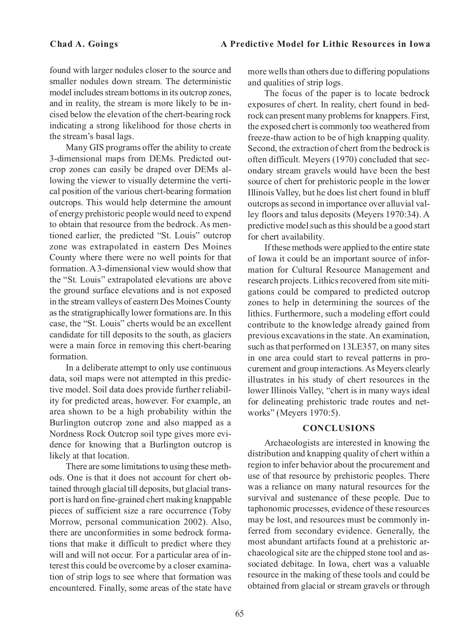found with larger nodules closer to the source and smaller nodules down stream. The deterministic model includes stream bottoms in its outcrop zones, and in reality, the stream is more likely to be incised below the elevation of the chert-bearing rock indicating a strong likelihood for those cherts in the stream's basal lags.

Many GIS programs offer the ability to create 3-dimensional maps from DEMs. Predicted outcrop zones can easily be draped over DEMs allowing the viewer to visually determine the vertical position of the various chert-bearing formation outcrops. This would help determine the amount of energy prehistoric people would need to expend to obtain that resource from the bedrock. As mentioned earlier, the predicted "St. Louis" outcrop zone was extrapolated in eastern Des Moines County where there were no well points for that formation. A 3-dimensional view would show that the "St. Louis" extrapolated elevations are above the ground surface elevations and is not exposed in the stream valleys of eastern Des Moines County as the stratigraphically lower formations are. In this case, the "St. Louis" cherts would be an excellent candidate for till deposits to the south, as glaciers were a main force in removing this chert-bearing formation.

In a deliberate attempt to only use continuous data, soil maps were not attempted in this predictive model. Soil data does provide further reliability for predicted areas, however. For example, an area shown to be a high probability within the Burlington outcrop zone and also mapped as a Nordness Rock Outcrop soil type gives more evidence for knowing that a Burlington outcrop is likely at that location.

There are some limitations to using these methods. One is that it does not account for chert obtained through glacial till deposits, but glacial transport is hard on fine-grained chert making knappable pieces of sufficient size a rare occurrence (Toby Morrow, personal communication 2002). Also, there are unconformities in some bedrock formations that make it difficult to predict where they will and will not occur. For a particular area of interest this could be overcome by a closer examination of strip logs to see where that formation was encountered. Finally, some areas of the state have

more wells than others due to differing populations and qualities of strip logs.

The focus of the paper is to locate bedrock exposures of chert. In reality, chert found in bedrock can present many problems for knappers. First, the exposed chert is commonly too weathered from freeze-thaw action to be of high knapping quality. Second, the extraction of chert from the bedrock is often difficult. Meyers (1970) concluded that secondary stream gravels would have been the best source of chert for prehistoric people in the lower Illinois Valley, but he does list chert found in bluff outcrops as second in importance over alluvial valley floors and talus deposits (Meyers 1970:34). A predictive model such as this should be a good start for chert availability.

If these methods were applied to the entire state of Iowa it could be an important source of information for Cultural Resource Management and research projects. Lithics recovered from site mitigations could be compared to predicted outcrop zones to help in determining the sources of the lithics. Furthermore, such a modeling effort could contribute to the knowledge already gained from previous excavations in the state. An examination, such as that performed on 13LE357, on many sites in one area could start to reveal patterns in procurement and group interactions. As Meyers clearly illustrates in his study of chert resources in the lower Illinois Valley, "chert is in many ways ideal for delineating prehistoric trade routes and networks" (Meyers 1970:5).

#### **CONCLUSIONS**

Archaeologists are interested in knowing the distribution and knapping quality of chert within a region to infer behavior about the procurement and use of that resource by prehistoric peoples. There was a reliance on many natural resources for the survival and sustenance of these people. Due to taphonomic processes, evidence of these resources may be lost, and resources must be commonly inferred from secondary evidence. Generally, the most abundant artifacts found at a prehistoric archaeological site are the chipped stone tool and associated debitage. In Iowa, chert was a valuable resource in the making of these tools and could be obtained from glacial or stream gravels or through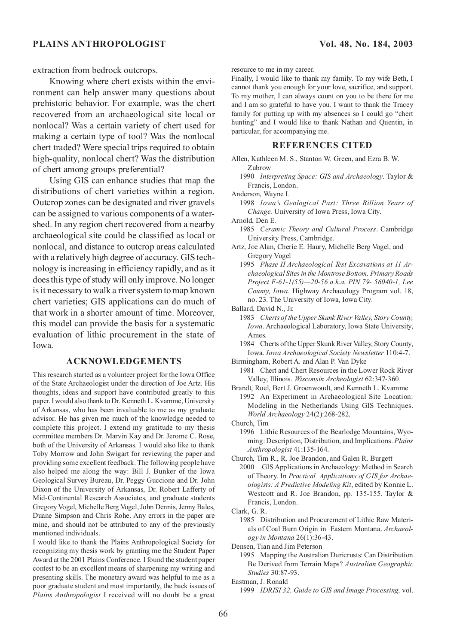extraction from bedrock outcrops.

Knowing where chert exists within the environment can help answer many questions about prehistoric behavior. For example, was the chert recovered from an archaeological site local or nonlocal? Was a certain variety of chert used for making a certain type of tool? Was the nonlocal chert traded? Were special trips required to obtain high-quality, nonlocal chert? Was the distribution of chert among groups preferential?

Using GIS can enhance studies that map the distributions of chert varieties within a region. Outcrop zones can be designated and river gravels can be assigned to various components of a watershed. In any region chert recovered from a nearby archaeological site could be classified as local or nonlocal, and distance to outcrop areas calculated with a relatively high degree of accuracy. GIS technology is increasing in efficiency rapidly, and as it does this type of study will only improve. No longer is it necessary to walk a river system to map known chert varieties; GIS applications can do much of that work in a shorter amount of time. Moreover, this model can provide the basis for a systematic evaluation of lithic procurement in the state of Iowa.

#### **ACKNOWLEDGEMENTS**

This research started as a volunteer project for the Iowa Office of the State Archaeologist under the direction of Joe Artz. His thoughts, ideas and support have contributed greatly to this paper. I would also thank to Dr. Kenneth L. Kvamme, University of Arkansas, who has been invaluable to me as my graduate advisor. He has given me much of the knowledge needed to complete this project. I extend my gratitude to my thesis committee members Dr. Marvin Kay and Dr. Jerome C. Rose, both of the University of Arkansas. I would also like to thank Toby Morrow and John Swigart for reviewing the paper and providing some excellent feedback. The following people have also helped me along the way: Bill J. Bunker of the Iowa Geological Survey Bureau, Dr. Peggy Guccione and Dr. John Dixon of the University of Arkansas, Dr. Robert Lafferty of Mid-Continental Research Associates, and graduate students Gregory Vogel, Michelle Berg Vogel, John Dennis, Jenny Bales, Duane Simpson and Chris Rohe. Any errors in the paper are mine, and should not be attributed to any of the previously mentioned individuals.

I would like to thank the Plains Anthropological Society for recognizing my thesis work by granting me the Student Paper Award at the 2001 Plains Conference. I found the student paper contest to be an excellent means of sharpening my writing and presenting skills. The monetary award was helpful to me as a poor graduate student and most importantly, the back issues of *Plains Anthropologist* I received will no doubt be a great resource to me in my career.

Finally, I would like to thank my family. To my wife Beth, I cannot thank you enough for your love, sacrifice, and support. To my mother, I can always count on you to be there for me and I am so grateful to have you. I want to thank the Tracey family for putting up with my absences so I could go "chert hunting" and I would like to thank Nathan and Quentin, in particular, for accompanying me.

#### **REFERENCES CITED**

- Allen, Kathleen M. S., Stanton W. Green, and Ezra B. W. Zubrow
	- 1990 *Interpreting Space: GIS and Archaeology*. Taylor & Francis, London.

Anderson, Wayne I.

1998 *Iowa's Geological Past: Three Billion Years of Change*. University of Iowa Press, Iowa City.

Arnold, Den E.

1985 *Ceramic Theory and Cultural Process*. Cambridge University Press, Cambridge.

- Artz, Joe Alan, Cherie E. Haury, Michelle Berg Vogel, and Gregory Vogel
	- 1995 *Phase II Archaeological Test Excavations at 11 Archaeological Sites in the Montrose Bottom, Primary Roads Project F-61-1(55)—20-56 a.k.a. PIN 79- 56040-1, Lee County, Iowa.* Highway Archaeology Program vol. 18, no. 23. The University of Iowa, Iowa City.

Ballard, David N., Jr.

1983 *Cherts of the Upper Skunk River Valley, Story County, Iowa.* Archaeological Laboratory, Iowa State University, Ames.

1984 Cherts of the Upper Skunk River Valley, Story County, Iowa. *Iowa Archaeological Society Newsletter* 110:4-7.

Birmingham, Robert A. and Alan P. Van Dyke

1981 Chert and Chert Resources in the Lower Rock River Valley, Illinois. *Wisconsin Archeologist* 62:347-360.

Brandt, Roel, Bert J. Groenwoudt, and Kenneth L. Kvamme 1992 An Experiment in Archaeological Site Location: Modeling in the Netherlands Using GIS Techniques. *World Archaeology* 24(2):268-282.

Church, Tim

1996 Lithic Resources of the Bearlodge Mountains, Wyoming: Description, Distribution, and Implications. *Plains Anthropologist* 41:135-164.

Church, Tim R., R. Joe Brandon, and Galen R. Burgett 2000 GIS Applications in Archaeology: Method in Search of Theory. In *Practical Applications of GIS for Archaeologists: A Predictive Modeling Kit*, edited by Konnie L. Westcott and R. Joe Brandon, pp. 135-155. Taylor & Francis, London.

Clark, G. R.

1985 Distribution and Procurement of Lithic Raw Materials of Coal Burn Origin in Eastern Montana. *Archaeology in Montana* 26(1):36-43.

Densen, Tian and Jim Peterson

1995 Mapping the Australian Duricrusts: Can Distribution Be Derived from Terrain Maps? *Australian Geographic Studies* 30:87-93.

Eastman, J. Ronald

1999 *IDRISI 32, Guide to GIS and Image Processing,* vol.